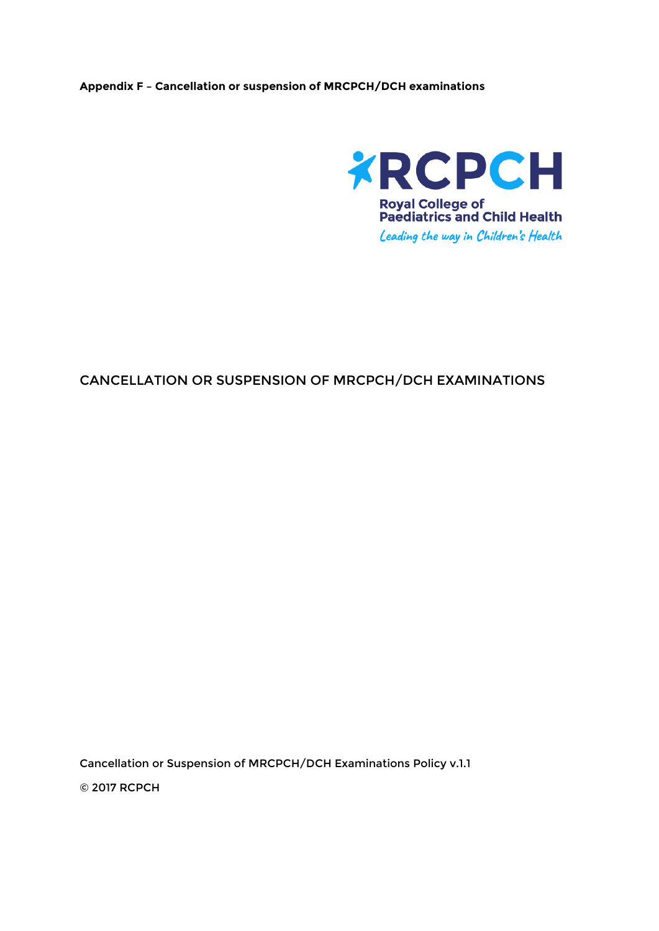## **Appendix F – Cancellation or suspension of MRCPCH/DCH examinations**



## CANCELLATION OR SUSPENSION OF MRCPCH/DCH EXAMINATIONS

Cancellation or Suspension of MRCPCH/DCH Examinations Policy v.1.1

© 2017 RCPCH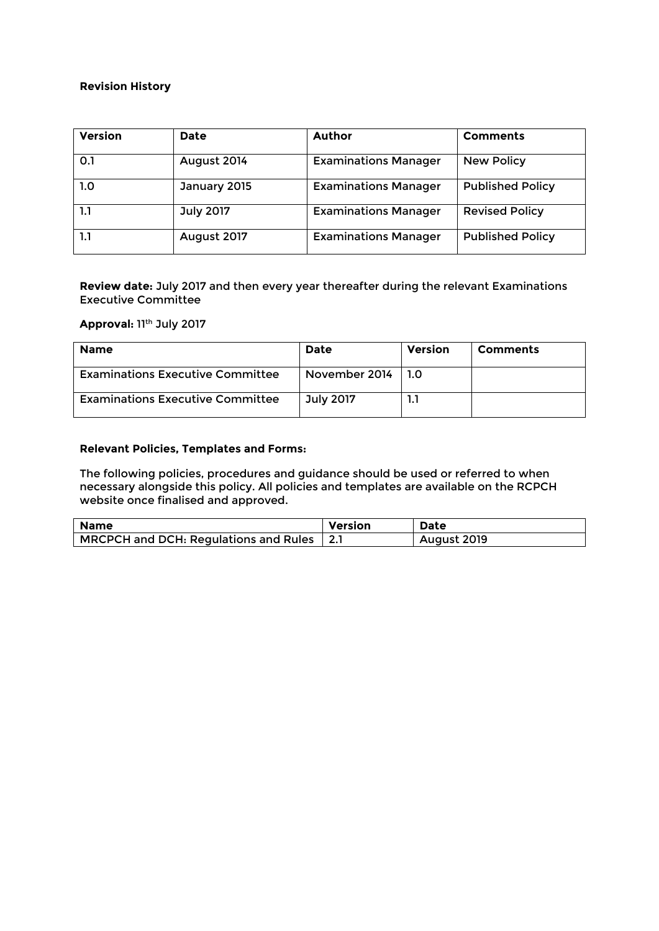#### **Revision History**

| <b>Version</b> | <b>Date</b>      | <b>Author</b>               | <b>Comments</b>         |
|----------------|------------------|-----------------------------|-------------------------|
| 0.1            | August 2014      | <b>Examinations Manager</b> | <b>New Policy</b>       |
| 1.0            | January 2015     | <b>Examinations Manager</b> | <b>Published Policy</b> |
| 1.1            | <b>July 2017</b> | <b>Examinations Manager</b> | <b>Revised Policy</b>   |
| 1.1            | August 2017      | <b>Examinations Manager</b> | <b>Published Policy</b> |

**Review date:** July 2017 and then every year thereafter during the relevant Examinations Executive Committee

## **Approval:** 11th July 2017

| <b>Name</b>                             | Date             | Version | <b>Comments</b> |
|-----------------------------------------|------------------|---------|-----------------|
| <b>Examinations Executive Committee</b> | November 2014    | . 1.O   |                 |
| <b>Examinations Executive Committee</b> | <b>July 2017</b> |         |                 |

## **Relevant Policies, Templates and Forms:**

The following policies, procedures and guidance should be used or referred to when necessary alongside this policy. All policies and templates are available on the RCPCH website once finalised and approved.

| <b>Name</b>                               | Version | Date        |
|-------------------------------------------|---------|-------------|
| MRCPCH and DCH: Regulations and Rules 2.1 |         | August 2019 |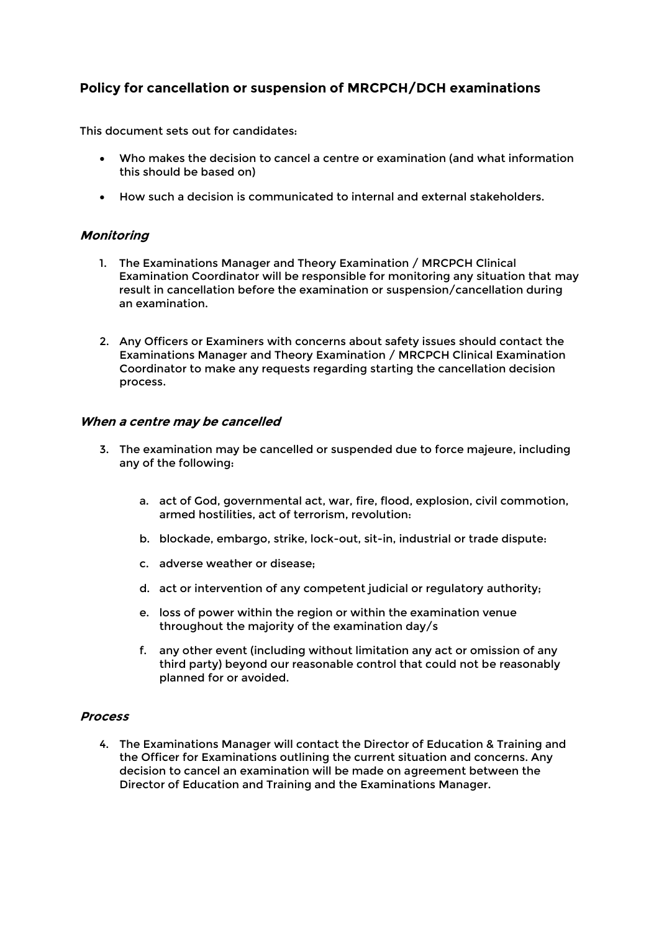# **Policy for cancellation or suspension of MRCPCH/DCH examinations**

This document sets out for candidates:

- Who makes the decision to cancel a centre or examination (and what information this should be based on)
- How such a decision is communicated to internal and external stakeholders.

## **Monitoring**

- 1. The Examinations Manager and Theory Examination / MRCPCH Clinical Examination Coordinator will be responsible for monitoring any situation that may result in cancellation before the examination or suspension/cancellation during an examination.
- 2. Any Officers or Examiners with concerns about safety issues should contact the Examinations Manager and Theory Examination / MRCPCH Clinical Examination Coordinator to make any requests regarding starting the cancellation decision process.

## **When a centre may be cancelled**

- 3. The examination may be cancelled or suspended due to force majeure, including any of the following:
	- a. act of God, governmental act, war, fire, flood, explosion, civil commotion, armed hostilities, act of terrorism, revolution:
	- b. blockade, embargo, strike, lock-out, sit-in, industrial or trade dispute:
	- c. adverse weather or disease;
	- d. act or intervention of any competent judicial or regulatory authority;
	- e. loss of power within the region or within the examination venue throughout the majority of the examination day/s
	- f. any other event (including without limitation any act or omission of any third party) beyond our reasonable control that could not be reasonably planned for or avoided.

#### **Process**

4. The Examinations Manager will contact the Director of Education & Training and the Officer for Examinations outlining the current situation and concerns. Any decision to cancel an examination will be made on agreement between the Director of Education and Training and the Examinations Manager.